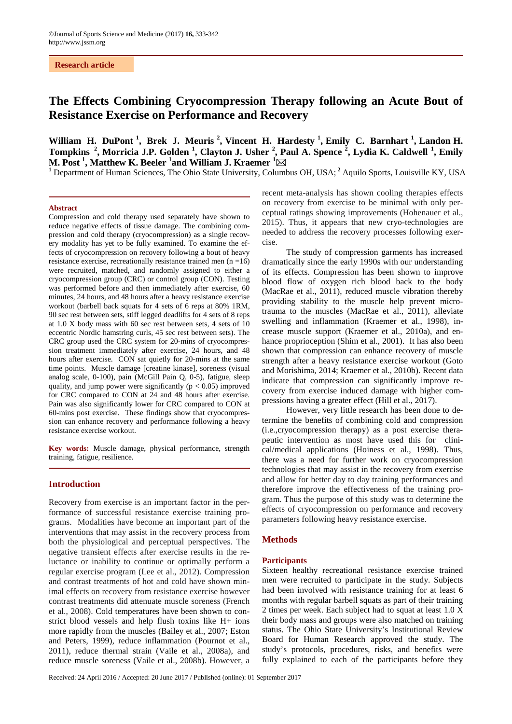## **Research article**

# **The Effects Combining Cryocompression Therapy following an Acute Bout of Resistance Exercise on Performance and Recovery**

William H. DuPont<sup>1</sup>, Brek J. Meuris<sup>2</sup>, Vincent H. Hardesty<sup>1</sup>, Emily C. Barnhart<sup>1</sup>, Landon H. **Tompkins <sup>2</sup> , Morricia J.P. Golden <sup>1</sup> , Clayton J. Usher <sup>2</sup> , Paul A. Spence <sup>2</sup> , Lydia K. Caldwell <sup>1</sup> , Emily M. Post 1 , Matthew K. Beeler 1 and William J. Kraemer 1 M. Post<sup>1</sup>, Matthew K. Beeler<sup>1</sup>and William J. Kraemer<sup>1</sup>⊠<br><sup>1</sup> Department of Human Sciences, The Ohio State University, Columbus OH, USA;<sup>2</sup> Aquilo Sports, Louisville KY, USA** 

#### **Abstract**

Compression and cold therapy used separately have shown to reduce negative effects of tissue damage. The combining compression and cold therapy (cryocompression) as a single recovery modality has yet to be fully examined. To examine the effects of cryocompression on recovery following a bout of heavy resistance exercise, recreationally resistance trained men (n =16) were recruited, matched, and randomly assigned to either a cryocompression group (CRC) or control group (CON). Testing was performed before and then immediately after exercise, 60 minutes, 24 hours, and 48 hours after a heavy resistance exercise workout (barbell back squats for 4 sets of 6 reps at 80% 1RM, 90 sec rest between sets, stiff legged deadlifts for 4 sets of 8 reps at 1.0 X body mass with 60 sec rest between sets, 4 sets of 10 eccentric Nordic hamstring curls, 45 sec rest between sets). The CRC group used the CRC system for 20-mins of cryocompression treatment immediately after exercise, 24 hours, and 48 hours after exercise. CON sat quietly for 20-mins at the same time points. Muscle damage [creatine kinase], soreness (visual analog scale, 0-100), pain (McGill Pain Q, 0-5), fatigue, sleep quality, and jump power were significantly ( $p < 0.05$ ) improved for CRC compared to CON at 24 and 48 hours after exercise. Pain was also significantly lower for CRC compared to CON at 60-mins post exercise. These findings show that cryocompression can enhance recovery and performance following a heavy resistance exercise workout.

**Key words:** Muscle damage, physical performance, strength training, fatigue, resilience.

## **Introduction**

Recovery from exercise is an important factor in the performance of successful resistance exercise training programs. Modalities have become an important part of the interventions that may assist in the recovery process from both the physiological and perceptual perspectives. The negative transient effects after exercise results in the reluctance or inability to continue or optimally perform a regular exercise program (Lee et al., 2012). Compression and contrast treatments of hot and cold have shown minimal effects on recovery from resistance exercise however contrast treatments did attenuate muscle soreness (French et al., 2008). Cold temperatures have been shown to constrict blood vessels and help flush toxins like H+ ions more rapidly from the muscles (Bailey et al., 2007; Eston and Peters, 1999), reduce inflammation (Pournot et al., 2011), reduce thermal strain (Vaile et al., 2008a), and reduce muscle soreness (Vaile et al., 2008b). However, a recent meta-analysis has shown cooling therapies effects on recovery from exercise to be minimal with only perceptual ratings showing improvements (Hohenauer et al., 2015). Thus, it appears that new cryo-technologies are needed to address the recovery processes following exercise.

The study of compression garments has increased dramatically since the early 1990s with our understanding of its effects. Compression has been shown to improve blood flow of oxygen rich blood back to the body (MacRae et al., 2011), reduced muscle vibration thereby providing stability to the muscle help prevent microtrauma to the muscles (MacRae et al., 2011), alleviate swelling and inflammation (Kraemer et al., 1998), increase muscle support (Kraemer et al., 2010a), and enhance proprioception (Shim et al., 2001). It has also been shown that compression can enhance recovery of muscle strength after a heavy resistance exercise workout (Goto and Morishima, 2014; Kraemer et al., 2010b). Recent data indicate that compression can significantly improve recovery from exercise induced damage with higher compressions having a greater effect (Hill et al., 2017).

However, very little research has been done to determine the benefits of combining cold and compression (i.e.,cryocompression therapy) as a post exercise therapeutic intervention as most have used this for clinical/medical applications (Hoiness et al., 1998). Thus, there was a need for further work on cryocompression technologies that may assist in the recovery from exercise and allow for better day to day training performances and therefore improve the effectiveness of the training program. Thus the purpose of this study was to determine the effects of cryocompression on performance and recovery parameters following heavy resistance exercise.

# **Methods**

#### **Participants**

Sixteen healthy recreational resistance exercise trained men were recruited to participate in the study. Subjects had been involved with resistance training for at least 6 months with regular barbell squats as part of their training 2 times per week. Each subject had to squat at least 1.0 X their body mass and groups were also matched on training status. The Ohio State University's Institutional Review Board for Human Research approved the study. The study's protocols, procedures, risks, and benefits were fully explained to each of the participants before they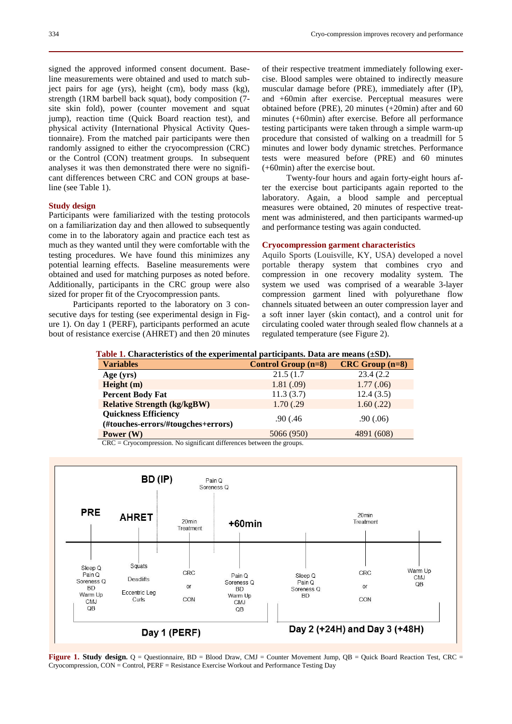signed the approved informed consent document. Baseline measurements were obtained and used to match subject pairs for age (yrs), height (cm), body mass (kg), strength (1RM barbell back squat), body composition (7 site skin fold), power (counter movement and squat jump), reaction time (Quick Board reaction test), and physical activity (International Physical Activity Questionnaire). From the matched pair participants were then randomly assigned to either the cryocompression (CRC) or the Control (CON) treatment groups. In subsequent analyses it was then demonstrated there were no significant differences between CRC and CON groups at baseline (see Table 1).

## **Study design**

Participants were familiarized with the testing protocols on a familiarization day and then allowed to subsequently come in to the laboratory again and practice each test as much as they wanted until they were comfortable with the testing procedures. We have found this minimizes any potential learning effects. Baseline measurements were obtained and used for matching purposes as noted before. Additionally, participants in the CRC group were also sized for proper fit of the Cryocompression pants.

Participants reported to the laboratory on 3 consecutive days for testing (see experimental design in Figure 1). On day 1 (PERF), participants performed an acute bout of resistance exercise (AHRET) and then 20 minutes of their respective treatment immediately following exercise. Blood samples were obtained to indirectly measure muscular damage before (PRE), immediately after (IP), and +60min after exercise. Perceptual measures were obtained before (PRE), 20 minutes (+20min) after and 60 minutes (+60min) after exercise. Before all performance testing participants were taken through a simple warm-up procedure that consisted of walking on a treadmill for 5 minutes and lower body dynamic stretches. Performance tests were measured before (PRE) and 60 minutes (+60min) after the exercise bout.

Twenty-four hours and again forty-eight hours after the exercise bout participants again reported to the laboratory. Again, a blood sample and perceptual measures were obtained, 20 minutes of respective treatment was administered, and then participants warmed-up and performance testing was again conducted.

#### **Cryocompression garment characteristics**

Aquilo Sports (Louisville, KY, USA) developed a novel portable therapy system that combines cryo and compression in one recovery modality system. The system we used was comprised of a wearable 3-layer compression garment lined with polyurethane flow channels situated between an outer compression layer and a soft inner layer (skin contact), and a control unit for circulating cooled water through sealed flow channels at a regulated temperature (see Figure 2).

#### **Table 1. Characteristics of the experimental participants. Data are means (±SD).**

| <b>Variables</b>                   | <b>Control Group (n=8)</b> | $CRC$ Group $(n=8)$ |
|------------------------------------|----------------------------|---------------------|
| Age $(yrs)$                        | 21.5(1.7)                  | 23.4 (2.2)          |
| Height $(m)$                       | 1.81(.09)                  | 1.77(.06)           |
| <b>Percent Body Fat</b>            | 11.3(3.7)                  | 12.4(3.5)           |
| <b>Relative Strength (kg/kgBW)</b> | 1.70(.29)                  | 1.60(.22)           |
| <b>Quickness Efficiency</b>        | .90(0.46)                  | .90(0.06)           |
| (#touches-errors/#tougches+errors) |                            |                     |
| Power $(W)$                        | 5066 (950)                 | 4891 (608)          |

CRC = Cryocompression. No significant differences between the groups.



**Figure 1. Study design.** Q = Questionnaire, BD = Blood Draw, CMJ = Counter Movement Jump, QB = Quick Board Reaction Test, CRC = Cryocompression, CON = Control, PERF = Resistance Exercise Workout and Performance Testing Day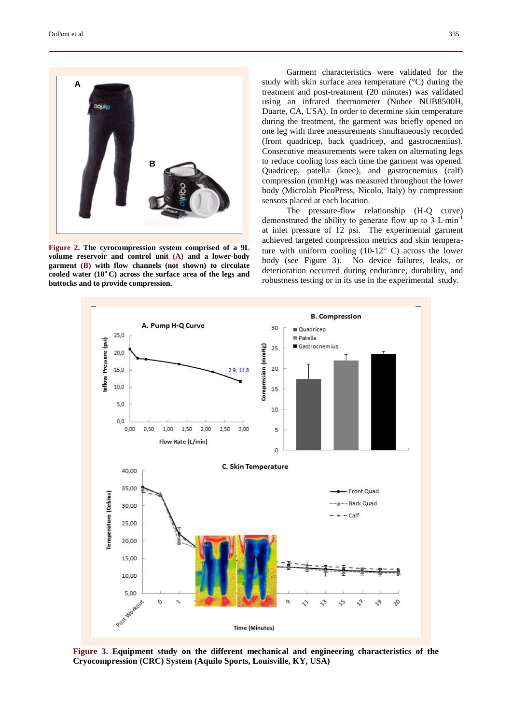

**Figure 2. The cyrocompression system comprised of a 9L volume reservoir and control unit (A) and a lower-body garment (B) with flow channels (not shown) to circulate cooled water (10o C) across the surface area of the legs and buttocks and to provide compression.**

Garment characteristics were validated for the study with skin surface area temperature (°C) during the treatment and post-treatment (20 minutes) was validated using an infrared thermometer (Nubee NUB8500H, Duarte, CA, USA). In order to determine skin temperature during the treatment, the garment was briefly opened on one leg with three measurements simultaneously recorded (front quadricep, back quadricep, and gastrocnemius). Consecutive measurements were taken on alternating legs to reduce cooling loss each time the garment was opened. Quadricep, patella (knee), and gastrocnemius (calf) compression (mmHg) was measured throughout the lower body (Microlab PicoPress, Nicolo, Italy) by compression sensors placed at each location.

The pressure-flow relationship (H-Q curve) demonstrated the ability to generate flow up to 3 L∙min-1 at inlet pressure of 12 psi. The experimental garment achieved targeted compression metrics and skin temperature with uniform cooling  $(10-12)$ ° C) across the lower body (see Figure 3). No device failures, leaks, or deterioration occurred during endurance, durability, and robustness testing or in its use in the experimental study.



**Figure 3. Equipment study on the different mechanical and engineering characteristics of the Cryocompression (CRC) System (Aquilo Sports, Louisville, KY, USA)**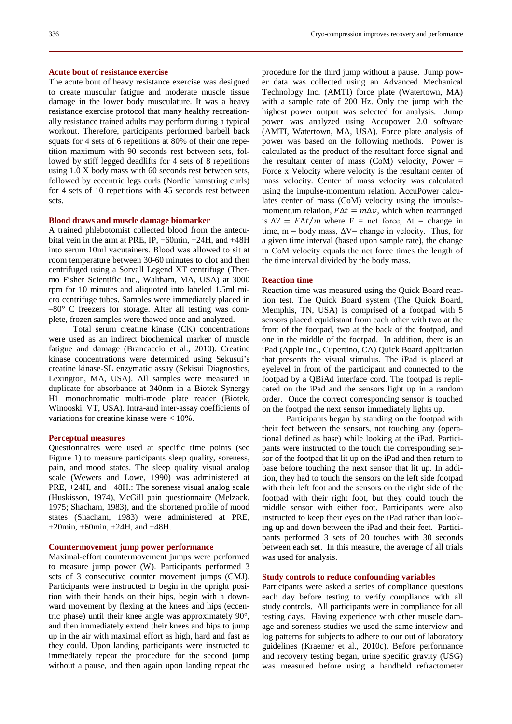## **Acute bout of resistance exercise**

The acute bout of heavy resistance exercise was designed to create muscular fatigue and moderate muscle tissue damage in the lower body musculature. It was a heavy resistance exercise protocol that many healthy recreationally resistance trained adults may perform during a typical workout. Therefore, participants performed barbell back squats for 4 sets of 6 repetitions at 80% of their one repetition maximum with 90 seconds rest between sets, followed by stiff legged deadlifts for 4 sets of 8 repetitions using 1.0 X body mass with 60 seconds rest between sets, followed by eccentric legs curls (Nordic hamstring curls) for 4 sets of 10 repetitions with 45 seconds rest between sets.

# **Blood draws and muscle damage biomarker**

A trained phlebotomist collected blood from the antecubital vein in the arm at PRE, IP, +60min, +24H, and +48H into serum 10ml vacutainers. Blood was allowed to sit at room temperature between 30-60 minutes to clot and then centrifuged using a Sorvall Legend XT centrifuge (Thermo Fisher Scientific Inc., Waltham, MA, USA) at 3000 rpm for 10 minutes and aliquoted into labeled 1.5ml micro centrifuge tubes. Samples were immediately placed in –80° C freezers for storage. After all testing was complete, frozen samples were thawed once and analyzed.

Total serum creatine kinase (CK) concentrations were used as an indirect biochemical marker of muscle fatigue and damage (Brancaccio et al., 2010). Creatine kinase concentrations were determined using Sekusui's creatine kinase-SL enzymatic assay (Sekisui Diagnostics, Lexington, MA, USA). All samples were measured in duplicate for absorbance at 340nm in a Biotek Synergy H1 monochromatic multi-mode plate reader (Biotek, Winooski, VT, USA). Intra-and inter-assay coefficients of variations for creatine kinase were < 10%.

#### **Perceptual measures**

Questionnaires were used at specific time points (see Figure 1) to measure participants sleep quality, soreness, pain, and mood states. The sleep quality visual analog scale (Wewers and Lowe, 1990) was administered at PRE, +24H, and +48H.: The soreness visual analog scale (Huskisson, 1974), McGill pain questionnaire (Melzack, 1975; Shacham, 1983), and the shortened profile of mood states (Shacham, 1983) were administered at PRE, +20min, +60min, +24H, and +48H.

#### **Countermovement jump power performance**

Maximal-effort countermovement jumps were performed to measure jump power (W). Participants performed 3 sets of 3 consecutive counter movement jumps (CMJ). Participants were instructed to begin in the upright position with their hands on their hips, begin with a downward movement by flexing at the knees and hips (eccentric phase) until their knee angle was approximately 90**°**, and then immediately extend their knees and hips to jump up in the air with maximal effort as high, hard and fast as they could. Upon landing participants were instructed to immediately repeat the procedure for the second jump without a pause, and then again upon landing repeat the

procedure for the third jump without a pause. Jump power data was collected using an Advanced Mechanical Technology Inc. (AMTI) force plate (Watertown, MA) with a sample rate of 200 Hz. Only the jump with the highest power output was selected for analysis. Jump power was analyzed using Accupower 2.0 software (AMTI, Watertown, MA, USA). Force plate analysis of power was based on the following methods. Power is calculated as the product of the resultant force signal and the resultant center of mass  $(CoM)$  velocity, Power = Force x Velocity where velocity is the resultant center of mass velocity. Center of mass velocity was calculated using the impulse-momentum relation. AccuPower calculates center of mass (CoM) velocity using the impulsemomentum relation,  $F\Delta t = m\Delta v$ , which when rearranged is  $\Delta V = F \Delta t / m$  where F = net force,  $\Delta t$  = change in time, m = body mass,  $\Delta V$ = change in velocity. Thus, for a given time interval (based upon sample rate), the change in CoM velocity equals the net force times the length of the time interval divided by the body mass.

#### **Reaction time**

Reaction time was measured using the Quick Board reaction test. The Quick Board system (The Quick Board, Memphis, TN, USA) is comprised of a footpad with 5 sensors placed equidistant from each other with two at the front of the footpad, two at the back of the footpad, and one in the middle of the footpad. In addition, there is an iPad (Apple Inc., Cupertino, CA) Quick Board application that presents the visual stimulus. The iPad is placed at eyelevel in front of the participant and connected to the footpad by a QBiAd interface cord. The footpad is replicated on the iPad and the sensors light up in a random order. Once the correct corresponding sensor is touched on the footpad the next sensor immediately lights up.

Participants began by standing on the footpad with their feet between the sensors, not touching any (operational defined as base) while looking at the iPad. Participants were instructed to the touch the corresponding sensor of the footpad that lit up on the iPad and then return to base before touching the next sensor that lit up. In addition, they had to touch the sensors on the left side footpad with their left foot and the sensors on the right side of the footpad with their right foot, but they could touch the middle sensor with either foot. Participants were also instructed to keep their eyes on the iPad rather than looking up and down between the iPad and their feet. Participants performed 3 sets of 20 touches with 30 seconds between each set. In this measure, the average of all trials was used for analysis.

## **Study controls to reduce confounding variables**

Participants were asked a series of compliance questions each day before testing to verify compliance with all study controls. All participants were in compliance for all testing days. Having experience with other muscle damage and soreness studies we used the same interview and log patterns for subjects to adhere to our out of laboratory guidelines (Kraemer et al., 2010c). Before performance and recovery testing began, urine specific gravity (USG) was measured before using a handheld refractometer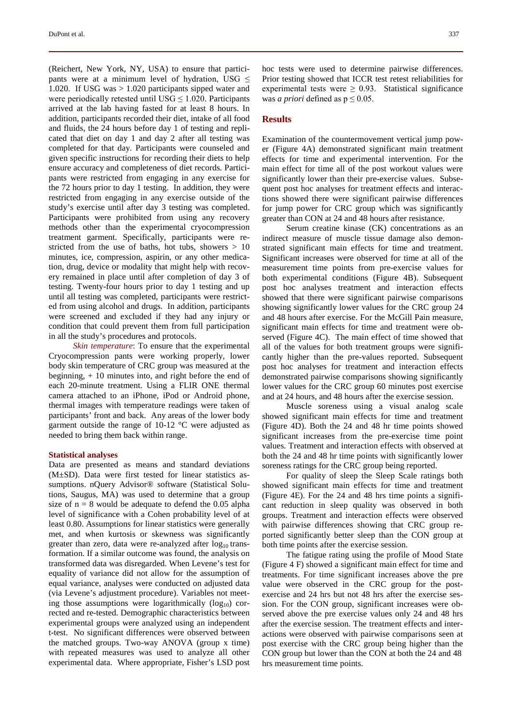(Reichert, New York, NY, USA) to ensure that participants were at a minimum level of hydration, USG  $\leq$ 1.020. If USG was > 1.020 participants sipped water and were periodically retested until USG  $\leq$  1.020. Participants arrived at the lab having fasted for at least 8 hours. In addition, participants recorded their diet, intake of all food and fluids, the 24 hours before day 1 of testing and replicated that diet on day 1 and day 2 after all testing was completed for that day. Participants were counseled and given specific instructions for recording their diets to help ensure accuracy and completeness of diet records*.* Participants were restricted from engaging in any exercise for the 72 hours prior to day 1 testing. In addition, they were restricted from engaging in any exercise outside of the study's exercise until after day 3 testing was completed. Participants were prohibited from using any recovery methods other than the experimental cryocompression treatment garment. Specifically, participants were restricted from the use of baths, hot tubs, showers  $> 10$ minutes, ice, compression, aspirin, or any other medication, drug, device or modality that might help with recovery remained in place until after completion of day 3 of testing. Twenty-four hours prior to day 1 testing and up until all testing was completed, participants were restricted from using alcohol and drugs. In addition, participants were screened and excluded if they had any injury or condition that could prevent them from full participation in all the study's procedures and protocols.

*Skin temperature*: To ensure that the experimental Cryocompression pants were working properly, lower body skin temperature of CRC group was measured at the beginning, + 10 minutes into, and right before the end of each 20-minute treatment. Using a FLIR ONE thermal camera attached to an iPhone, iPod or Android phone, thermal images with temperature readings were taken of participants' front and back. Any areas of the lower body garment outside the range of 10-12 °C were adjusted as needed to bring them back within range.

#### **Statistical analyses**

Data are presented as means and standard deviations (M±SD). Data were first tested for linear statistics assumptions. nQuery Advisor® software (Statistical Solutions, Saugus, MA) was used to determine that a group size of  $n = 8$  would be adequate to defend the 0.05 alpha level of significance with a Cohen probability level of at least 0.80. Assumptions for linear statistics were generally met, and when kurtosis or skewness was significantly greater than zero, data were re-analyzed after  $log_{10}$  transformation. If a similar outcome was found, the analysis on transformed data was disregarded. When Levene's test for equality of variance did not allow for the assumption of equal variance, analyses were conducted on adjusted data (via Levene's adjustment procedure). Variables not meeting those assumptions were logarithmically  $(log_{10})$  corrected and re-tested. Demographic characteristics between experimental groups were analyzed using an independent t-test. No significant differences were observed between the matched groups. Two-way ANOVA (group x time) with repeated measures was used to analyze all other experimental data. Where appropriate, Fisher's LSD post hoc tests were used to determine pairwise differences. Prior testing showed that ICCR test retest reliabilities for experimental tests were  $\geq$  0.93. Statistical significance was *a priori* defined as  $p \leq 0.05$ .

## **Results**

Examination of the countermovement vertical jump power (Figure 4A) demonstrated significant main treatment effects for time and experimental intervention. For the main effect for time all of the post workout values were significantly lower than their pre-exercise values. Subsequent post hoc analyses for treatment effects and interactions showed there were significant pairwise differences for jump power for CRC group which was significantly greater than CON at 24 and 48 hours after resistance.

Serum creatine kinase (CK) concentrations as an indirect measure of muscle tissue damage also demonstrated significant main effects for time and treatment. Significant increases were observed for time at all of the measurement time points from pre-exercise values for both experimental conditions (Figure 4B). Subsequent post hoc analyses treatment and interaction effects showed that there were significant pairwise comparisons showing significantly lower values for the CRC group 24 and 48 hours after exercise. For the McGill Pain measure, significant main effects for time and treatment were observed (Figure 4C). The main effect of time showed that all of the values for both treatment groups were significantly higher than the pre-values reported. Subsequent post hoc analyses for treatment and interaction effects demonstrated pairwise comparisons showing significantly lower values for the CRC group 60 minutes post exercise and at 24 hours, and 48 hours after the exercise session.

Muscle soreness using a visual analog scale showed significant main effects for time and treatment (Figure 4D). Both the 24 and 48 hr time points showed significant increases from the pre-exercise time point values. Treatment and interaction effects with observed at both the 24 and 48 hr time points with significantly lower soreness ratings for the CRC group being reported.

For quality of sleep the Sleep Scale ratings both showed significant main effects for time and treatment (Figure 4E). For the 24 and 48 hrs time points a significant reduction in sleep quality was observed in both groups. Treatment and interaction effects were observed with pairwise differences showing that CRC group reported significantly better sleep than the CON group at both time points after the exercise session.

The fatigue rating using the profile of Mood State (Figure 4 F) showed a significant main effect for time and treatments. For time significant increases above the pre value were observed in the CRC group for the postexercise and 24 hrs but not 48 hrs after the exercise session. For the CON group, significant increases were observed above the pre exercise values only 24 and 48 hrs after the exercise session. The treatment effects and interactions were observed with pairwise comparisons seen at post exercise with the CRC group being higher than the CON group but lower than the CON at both the 24 and 48 hrs measurement time points.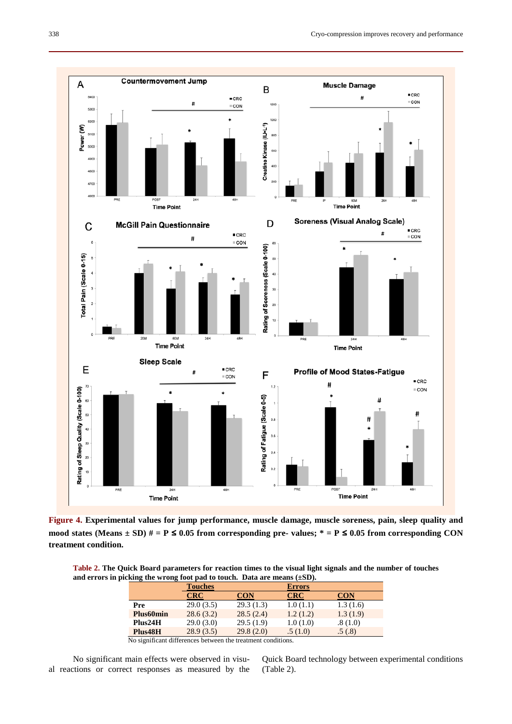

**Figure 4. Experimental values for jump performance, muscle damage, muscle soreness, pain, sleep quality and**  mood states (Means  $\pm$  SD)  $\#$  = P  $\leq$  0.05 from corresponding pre- values;  $*$  = P  $\leq$  0.05 from corresponding CON **treatment condition.**

**Table 2. The Quick Board parameters for reaction times to the visual light signals and the number of touches and errors in picking the wrong foot pad to touch. Data are means (±SD).**

|                                 | <b>Touches</b> |                                                                          | <b>Errors</b> |            |  |
|---------------------------------|----------------|--------------------------------------------------------------------------|---------------|------------|--|
|                                 | <b>CRC</b>     | <b>CON</b>                                                               | <b>CRC</b>    | <b>CON</b> |  |
| Pre                             | 29.0(3.5)      | 29.3(1.3)                                                                | 1.0(1.1)      | 1.3(1.6)   |  |
| Plus <sub>60</sub> min          | 28.6(3.2)      | 28.5(2.4)                                                                | 1.2(1.2)      | 1.3(1.9)   |  |
| Plus24H                         | 29.0(3.0)      | 29.5(1.9)                                                                | 1.0(1.0)      | .8(1.0)    |  |
| Plus48H                         | 28.9(3.5)      | 29.8(2.0)                                                                | .5(1.0)       | .5(.8)     |  |
| $\cdot$ $\sim$<br>.<br>$\cdots$ | $\sim$ $\sim$  | $\sim$ 100 $\sim$ 200 $\sim$ 300 $\sim$ 300 $\sim$ 300 $\sim$ 300 $\sim$ | $\cdots$      |            |  |

No significant differences between the treatment conditions.

No significant main effects were observed in visual reactions or correct responses as measured by the

Quick Board technology between experimental conditions (Table 2).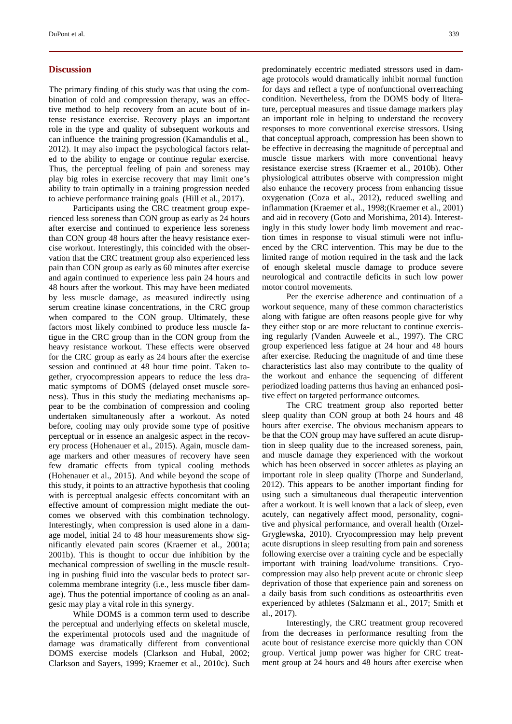# **Discussion**

The primary finding of this study was that using the combination of cold and compression therapy, was an effective method to help recovery from an acute bout of intense resistance exercise. Recovery plays an important role in the type and quality of subsequent workouts and can influence the training progression (Kamandulis et al., 2012). It may also impact the psychological factors related to the ability to engage or continue regular exercise. Thus, the perceptual feeling of pain and soreness may play big roles in exercise recovery that may limit one's ability to train optimally in a training progression needed to achieve performance training goals (Hill et al., 2017).

Participants using the CRC treatment group experienced less soreness than CON group as early as 24 hours after exercise and continued to experience less soreness than CON group 48 hours after the heavy resistance exercise workout. Interestingly, this coincided with the observation that the CRC treatment group also experienced less pain than CON group as early as 60 minutes after exercise and again continued to experience less pain 24 hours and 48 hours after the workout. This may have been mediated by less muscle damage, as measured indirectly using serum creatine kinase concentrations, in the CRC group when compared to the CON group. Ultimately, these factors most likely combined to produce less muscle fatigue in the CRC group than in the CON group from the heavy resistance workout. These effects were observed for the CRC group as early as 24 hours after the exercise session and continued at 48 hour time point. Taken together, cryocompression appears to reduce the less dramatic symptoms of DOMS (delayed onset muscle soreness). Thus in this study the mediating mechanisms appear to be the combination of compression and cooling undertaken simultaneously after a workout. As noted before, cooling may only provide some type of positive perceptual or in essence an analgesic aspect in the recovery process (Hohenauer et al., 2015). Again, muscle damage markers and other measures of recovery have seen few dramatic effects from typical cooling methods (Hohenauer et al., 2015). And while beyond the scope of this study, it points to an attractive hypothesis that cooling with is perceptual analgesic effects concomitant with an effective amount of compression might mediate the outcomes we observed with this combination technology. Interestingly, when compression is used alone in a damage model, initial 24 to 48 hour measurements show significantly elevated pain scores (Kraemer et al., 2001a; 2001b). This is thought to occur due inhibition by the mechanical compression of swelling in the muscle resulting in pushing fluid into the vascular beds to protect sarcolemma membrane integrity (i.e., less muscle fiber damage). Thus the potential importance of cooling as an analgesic may play a vital role in this synergy.

While DOMS is a common term used to describe the perceptual and underlying effects on skeletal muscle, the experimental protocols used and the magnitude of damage was dramatically different from conventional DOMS exercise models (Clarkson and Hubal, 2002; Clarkson and Sayers, 1999; Kraemer et al., 2010c). Such predominately eccentric mediated stressors used in damage protocols would dramatically inhibit normal function for days and reflect a type of nonfunctional overreaching condition. Nevertheless, from the DOMS body of literature, perceptual measures and tissue damage markers play an important role in helping to understand the recovery responses to more conventional exercise stressors. Using that conceptual approach, compression has been shown to be effective in decreasing the magnitude of perceptual and muscle tissue markers with more conventional heavy resistance exercise stress (Kraemer et al., 2010b). Other physiological attributes observe with compression might also enhance the recovery process from enhancing tissue oxygenation (Coza et al., 2012), reduced swelling and inflammation (Kraemer et al., 1998;(Kraemer et al., 2001) and aid in recovery (Goto and Morishima, 2014). Interestingly in this study lower body limb movement and reaction times in response to visual stimuli were not influenced by the CRC intervention. This may be due to the limited range of motion required in the task and the lack of enough skeletal muscle damage to produce severe neurological and contractile deficits in such low power motor control movements.

Per the exercise adherence and continuation of a workout sequence, many of these common characteristics along with fatigue are often reasons people give for why they either stop or are more reluctant to continue exercising regularly (Vanden Auweele et al., 1997). The CRC group experienced less fatigue at 24 hour and 48 hours after exercise. Reducing the magnitude of and time these characteristics last also may contribute to the quality of the workout and enhance the sequencing of different periodized loading patterns thus having an enhanced positive effect on targeted performance outcomes.

The CRC treatment group also reported better sleep quality than CON group at both 24 hours and 48 hours after exercise. The obvious mechanism appears to be that the CON group may have suffered an acute disruption in sleep quality due to the increased soreness, pain, and muscle damage they experienced with the workout which has been observed in soccer athletes as playing an important role in sleep quality (Thorpe and Sunderland, 2012). This appears to be another important finding for using such a simultaneous dual therapeutic intervention after a workout. It is well known that a lack of sleep, even acutely, can negatively affect mood, personality, cognitive and physical performance, and overall health (Orzel-Gryglewska, 2010). Cryocompression may help prevent acute disruptions in sleep resulting from pain and soreness following exercise over a training cycle and be especially important with training load/volume transitions. Cryocompression may also help prevent acute or chronic sleep deprivation of those that experience pain and soreness on a daily basis from such conditions as osteoarthritis even experienced by athletes (Salzmann et al., 2017; Smith et al., 2017).

Interestingly, the CRC treatment group recovered from the decreases in performance resulting from the acute bout of resistance exercise more quickly than CON group. Vertical jump power was higher for CRC treatment group at 24 hours and 48 hours after exercise when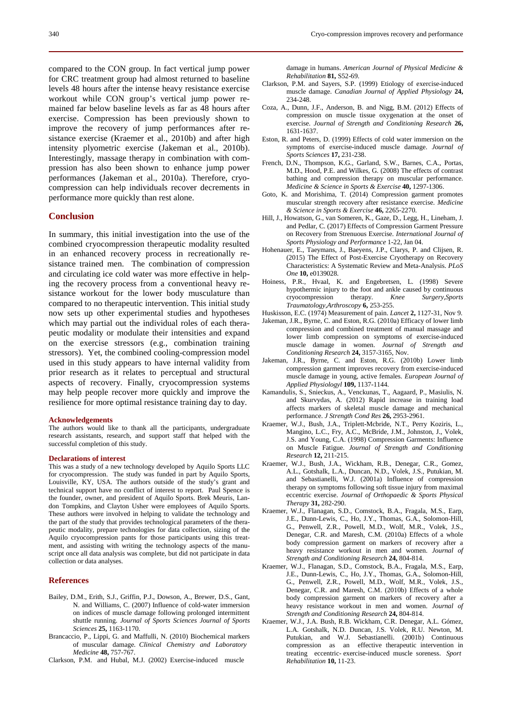compared to the CON group. In fact vertical jump power for CRC treatment group had almost returned to baseline levels 48 hours after the intense heavy resistance exercise workout while CON group's vertical jump power remained far below baseline levels as far as 48 hours after exercise. Compression has been previously shown to improve the recovery of jump performances after resistance exercise (Kraemer et al., 2010b) and after high intensity plyometric exercise (Jakeman et al., 2010b). Interestingly, massage therapy in combination with compression has also been shown to enhance jump power performances (Jakeman et al., 2010a). Therefore, cryocompression can help individuals recover decrements in performance more quickly than rest alone.

# **Conclusion**

In summary, this initial investigation into the use of the combined cryocompression therapeutic modality resulted in an enhanced recovery process in recreationally resistance trained men. The combination of compression and circulating ice cold water was more effective in helping the recovery process from a conventional heavy resistance workout for the lower body musculature than compared to no therapeutic intervention. This initial study now sets up other experimental studies and hypotheses which may partial out the individual roles of each therapeutic modality or modulate their intensities and expand on the exercise stressors (e.g., combination training stressors). Yet, the combined cooling-compression model used in this study appears to have internal validity from prior research as it relates to perceptual and structural aspects of recovery. Finally, cryocompression systems may help people recover more quickly and improve the resilience for more optimal resistance training day to day.

#### **Acknowledgements**

The authors would like to thank all the participants, undergraduate research assistants, research, and support staff that helped with the successful completion of this study.

#### **Declarations of interest**

This was a study of a new technology developed by Aquilo Sports LLC for cryocompression. The study was funded in part by Aquilo Sports, Louisville, KY, USA. The authors outside of the study's grant and technical support have no conflict of interest to report. Paul Spence is the founder, owner, and president of Aquilo Sports. Brek Meuris, Landon Tompkins, and Clayton Usher were employees of Aquilo Sports. These authors were involved in helping to validate the technology and the part of the study that provides technological parameters of the therapeutic modality, prepare technologies for data collection, sizing of the Aquilo cryocompression pants for those participants using this treatment, and assisting with writing the technology aspects of the manuscript once all data analysis was complete, but did not participate in data collection or data analyses.

#### **References**

- Bailey, D.M., Erith, S.J., Griffin, P.J., Dowson, A., Brewer, D.S., Gant, N. and Williams, C. (2007) Influence of cold-water immersion on indices of muscle damage following prolonged intermittent shuttle running. *Journal of Sports Sciences Journal of Sports Sciences* **25,** 1163-1170.
- Brancaccio, P., Lippi, G. and Maffulli, N. (2010) Biochemical markers of muscular damage. *Clinical Chemistry and Laboratory Medicine* **48,** 757-767.
- Clarkson, P.M. and Hubal, M.J. (2002) Exercise-induced muscle

damage in humans. *American Journal of Physical Medicine & Rehabilitation* **81,** S52-69.

- Clarkson, P.M. and Sayers, S.P. (1999) Etiology of exercise-induced muscle damage. *Canadian Journal of Applied Physiology* **24,** 234-248.
- Coza, A., Dunn, J.F., Anderson, B. and Nigg, B.M. (2012) Effects of compression on muscle tissue oxygenation at the onset of exercise. *Journal of Strength and Conditioning Research* **26,** 1631-1637.
- Eston, R. and Peters, D. (1999) Effects of cold water immersion on the symptoms of exercise-induced muscle damage. *Journal of Sports Sciences* **17,** 231-238.
- French, D.N., Thompson, K.G., Garland, S.W., Barnes, C.A., Portas, M.D., Hood, P.E. and Wilkes, G. (2008) The effects of contrast bathing and compression therapy on muscular performance. *Medicine & Science in Sports & Exercise* **40,** 1297-1306.
- Goto, K. and Morishima, T. (2014) Compression garment promotes muscular strength recovery after resistance exercise. *Medicine & Science in Sports & Exercise* **46,** 2265-2270.
- Hill, J., Howatson, G., van Someren, K., Gaze, D., Legg, H., Lineham, J. and Pedlar, C. (2017) Effects of Compression Garment Pressure on Recovery from Strenuous Exercise. *International Journal of Sports Physiology and Performance* 1-22, Jan 04.
- Hohenauer, E., Taeymans, J., Baeyens, J.P., Clarys, P. and Clijsen, R. (2015) The Effect of Post-Exercise Cryotherapy on Recovery Characteristics: A Systematic Review and Meta-Analysis. *PLoS One* **10,** e0139028.
- Hoiness, P.R., Hvaal, K. and Engebretsen, L. (1998) Severe hypothermic injury to the foot and ankle caused by continuous<br>cryocompression therapy. <br> *Knee Surgery, Sports* cryocompression therapy. *Knee Surgery,Sports Traumatology,Arthroscopy* **6,** 253-255.
- Huskisson, E.C. (1974) Measurement of pain. *Lancet* **2,** 1127-31, Nov 9.
- Jakeman, J.R., Byrne, C. and Eston, R.G. (2010a) Efficacy of lower limb compression and combined treatment of manual massage and lower limb compression on symptoms of exercise-induced muscle damage in women. *Journal of Strength and Conditioning Research* **24,** 3157-3165, Nov.
- Jakeman, J.R., Byrne, C. and Eston, R.G. (2010b) Lower limb compression garment improves recovery from exercise-induced muscle damage in young, active females. *European Journal of Applied Physiologyl* **109,** 1137-1144.
- Kamandulis, S., Snieckus, A., Venckunas, T., Aagaard, P., Masiulis, N. and Skurvydas, A. (2012) Rapid increase in training load affects markers of skeletal muscle damage and mechanical performance. *J Strength Cond Res* **26,** 2953-2961.
- Kraemer, W.J., Bush, J.A., Triplett-Mcbride, N.T., Perry Koziris, L., Mangino, L.C., Fry, A.C., McBride, J.M., Johnston, J., Volek, J.S. and Young, C.A. (1998) Compression Garments: Influence on Muscle Fatigue. *Journal of Strength and Conditioning Research* **12,** 211-215.
- Kraemer, W.J., Bush, J.A., Wickham, R.B., Denegar, C.R., Gomez, A.L., Gotshalk, L.A., Duncan, N.D., Volek, J.S., Putukian, M. and Sebastianelli, W.J. (2001a) Influence of compression therapy on symptoms following soft tissue injury from maximal eccentric exercise. *Journal of Orthopaedic & Sports Physical Therapy* **31,** 282-290.
- Kraemer, W.J., Flanagan, S.D., Comstock, B.A., Fragala, M.S., Earp, J.E., Dunn-Lewis, C., Ho, J.Y., Thomas, G.A., Solomon-Hill, G., Penwell, Z.R., Powell, M.D., Wolf, M.R., Volek, J.S., Denegar, C.R. and Maresh, C.M. (2010a) Effects of a whole body compression garment on markers of recovery after a heavy resistance workout in men and women. *Journal of Strength and Conditioning Research* **24,** 804-814.
- Kraemer, W.J., Flanagan, S.D., Comstock, B.A., Fragala, M.S., Earp, J.E., Dunn-Lewis, C., Ho, J.Y., Thomas, G.A., Solomon-Hill, G., Penwell, Z.R., Powell, M.D., Wolf, M.R., Volek, J.S., Denegar, C.R. and Maresh, C.M. (2010b) Effects of a whole body compression garment on markers of recovery after a heavy resistance workout in men and women. *Journal of Strength and Conditioning Research* **24,** 804-814.
- Kraemer, W.J., J.A. Bush, R.B. Wickham, C.R. Denegar, A.L. Gómez, L.A. Gotshalk, N.D. Duncan, J.S. Volek, R.U. Newton, M. Putukian, and W.J. Sebastianelli. (2001b) Continuous compression as an effective therapeutic intervention in treating eccentric- exercise-induced muscle soreness. *Sport Rehabilitation* **10,** 11-23.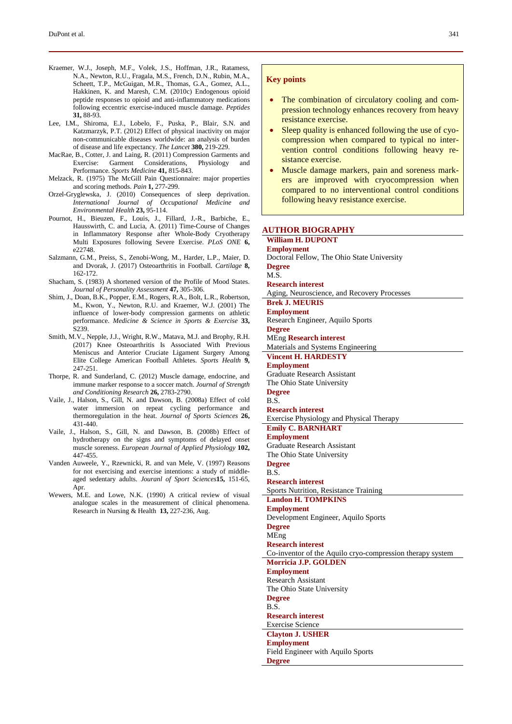- Kraemer, W.J., Joseph, M.F., Volek, J.S., Hoffman, J.R., Ratamess, N.A., Newton, R.U., Fragala, M.S., French, D.N., Rubin, M.A., Scheett, T.P., McGuigan, M.R., Thomas, G.A., Gomez, A.L., Hakkinen, K. and Maresh, C.M. (2010c) Endogenous opioid peptide responses to opioid and anti-inflammatory medications following eccentric exercise-induced muscle damage. *Peptides* **31,** 88-93.
- Lee, I.M., Shiroma, E.J., Lobelo, F., Puska, P., Blair, S.N. and Katzmarzyk, P.T. (2012) Effect of physical inactivity on major non-communicable diseases worldwide: an analysis of burden of disease and life expectancy. *The Lancet* **380,** 219-229.
- MacRae, B., Cotter, J. and Laing, R. (2011) Compression Garments and Exercise: Garment Considerations, Physiology and Performance. *Sports Medicine* **41,** 815-843.
- Melzack, R. (1975) The McGill Pain Questionnaire: major properties and scoring methods. *Pain* **1,** 277-299.
- Orzel-Gryglewska, J. (2010) Consequences of sleep deprivation. *International Journal of Occupational Medicine and Environmental Health* **23,** 95-114.
- Pournot, H., Bieuzen, F., Louis, J., Fillard, J.-R., Barbiche, E., Hausswirth, C. and Lucia, A. (2011) Time-Course of Changes in Inflammatory Response after Whole-Body Cryotherapy Multi Exposures following Severe Exercise. *PLoS ONE* **6,** e22748.
- Salzmann, G.M., Preiss, S., Zenobi-Wong, M., Harder, L.P., Maier, D. and Dvorak, J. (2017) Osteoarthritis in Football. *Cartilage* **8,** 162-172.
- Shacham, S. (1983) A shortened version of the Profile of Mood States. *Journal of Personality Assessment* **47,** 305-306.
- Shim, J., Doan, B.K., Popper, E.M., Rogers, R.A., Bolt, L.R., Robertson, M., Kwon, Y., Newton, R.U. and Kraemer, W.J. (2001) The influence of lower-body compression garments on athletic performance. *Medicine & Science in Sports & Exercise* **33,** S239.
- Smith, M.V., Nepple, J.J., Wright, R.W., Matava, M.J. and Brophy, R.H. (2017) Knee Osteoarthritis Is Associated With Previous Meniscus and Anterior Cruciate Ligament Surgery Among Elite College American Football Athletes. *Sports Health* **9,** 247-251.
- Thorpe, R. and Sunderland, C. (2012) Muscle damage, endocrine, and immune marker response to a soccer match. *Journal of Strength and Conditioning Research* **26,** 2783-2790.
- Vaile, J., Halson, S., Gill, N. and Dawson, B. (2008a) Effect of cold water immersion on repeat cycling performance and thermoregulation in the heat. *Journal of Sports Sciences* **26,** 431-440.
- Vaile, J., Halson, S., Gill, N. and Dawson, B. (2008b) Effect of hydrotherapy on the signs and symptoms of delayed onset muscle soreness. *European Journal of Applied Physiology* **102,** 447-455.
- Vanden Auweele, Y., Rzewnicki, R. and van Mele, V. (1997) Reasons for not exercising and exercise intentions: a study of middleaged sedentary adults. *Jouranl of Sport Sciences***15,** 151-65, Apr.
- Wewers, M.E. and Lowe, N.K. (1990) A critical review of visual analogue scales in the measurement of clinical phenomena. Research in Nursing & Health **13,** 227-236, Aug.

# **Key points**

- The combination of circulatory cooling and compression technology enhances recovery from heavy resistance exercise.
- Sleep quality is enhanced following the use of cyocompression when compared to typical no intervention control conditions following heavy resistance exercise.
- Muscle damage markers, pain and soreness markers are improved with cryocompression when compared to no interventional control conditions following heavy resistance exercise.

# **AUTHOR BIOGRAPHY**

**William H. DUPONT Employment** Doctoral Fellow, The Ohio State University **Degree** M.S. **Research interest** Aging, Neuroscience, and Recovery Processes **Brek J. MEURIS Employment** Research Engineer, Aquilo Sports **Degree** MEng **Research interest** Materials and Systems Engineering **Vincent H. HARDESTY Employment** Graduate Research Assistant The Ohio State University **Degree** B.S. **Research interest** Exercise Physiology and Physical Therapy **Emily C. BARNHART Employment** Graduate Research Assistant The Ohio State University **Degree** B.S. **Research interest** Sports Nutrition, Resistance Training **Landon H. TOMPKINS Employment** Development Engineer, Aquilo Sports **Degree** MEng **Research interest** Co-inventor of the Aquilo cryo-compression therapy system **Morricia J.P. GOLDEN Employment** Research Assistant The Ohio State University **Degree** B.S. **Research interest** Exercise Science **Clayton J. USHER Employment** Field Engineer with Aquilo Sports **Degree**